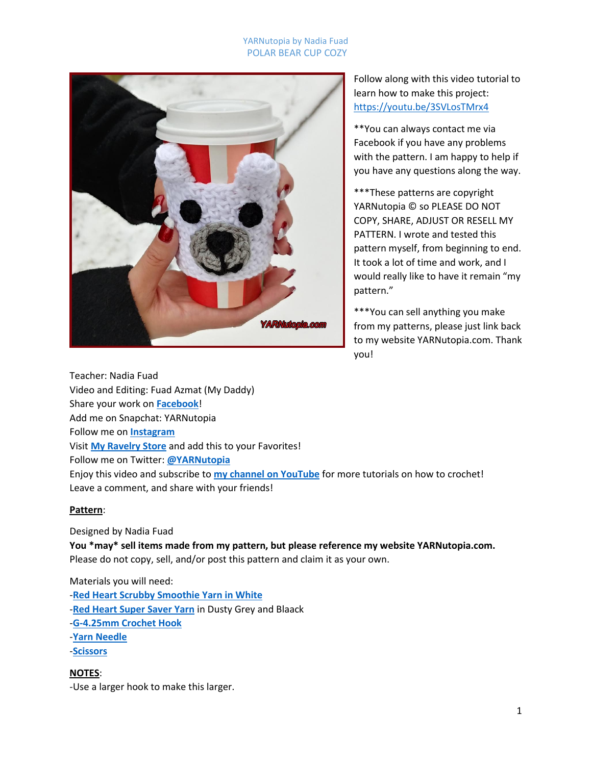## YARNutopia by Nadia Fuad POLAR BEAR CUP COZY



Follow along with this video tutorial to learn how to make this project: <https://youtu.be/3SVLosTMrx4>

\*\*You can always contact me via Facebook if you have any problems with the pattern. I am happy to help if you have any questions along the way.

\*\*\*These patterns are copyright YARNutopia © so PLEASE DO NOT COPY, SHARE, ADJUST OR RESELL MY PATTERN. I wrote and tested this pattern myself, from beginning to end. It took a lot of time and work, and I would really like to have it remain "my pattern."

\*\*\*You can sell anything you make from my patterns, please just link back to my website YARNutopia.com. Thank you!

Teacher: Nadia Fuad Video and Editing: Fuad Azmat (My Daddy) Share your work on **[Facebook](https://www.facebook.com/YARNutopiabyNadiaFuad/)**! Add me on Snapchat: YARNutopia Follow me on **[Instagram](https://www.instagram.com/yarnutopiabynadiafuad/)** Visit **[My Ravelry Store](http://www.ravelry.com/designers/nadia-fuad)** and add this to your Favorites! Follow me on Twitter: **[@YARNutopia](https://twitter.com/yarnutopia)** Enjoy this video and subscribe to **[my channel on YouTube](https://www.youtube.com/channel/UCzmagS2JwfR2li-COH6ixoQ)** for more tutorials on how to crochet! Leave a comment, and share with your friends!

### **Pattern**:

Designed by Nadia Fuad

**You \*may\* sell items made from my pattern, but please reference my website YARNutopia.com.** Please do not copy, sell, and/or post this pattern and claim it as your own.

Materials you will need: -**[Red Heart Scrubby Smoothie Yarn in White](http://bit.ly/scrubbysmoothie)** -**[Red Heart Super Saver Yarn](http://bit.ly/2w2xJSsSuperSaver)** in Dusty Grey and Blaack -**[G-4.25mm Crochet Hook](http://tidd.ly/77c3804d)** -**[Yarn Needle](http://amzn.to/2n4MXyq)** -**[Scissors](http://amzn.to/2n4NNvh)**

**NOTES**: -Use a larger hook to make this larger.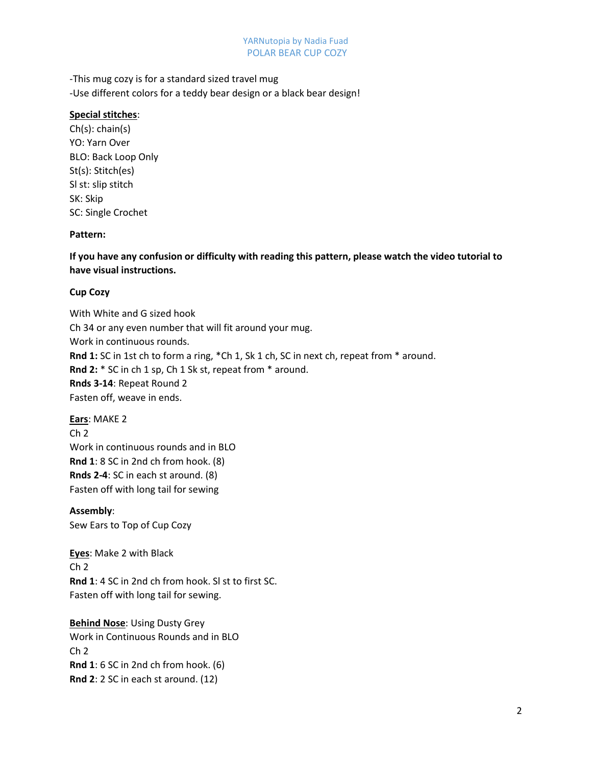#### YARNutopia by Nadia Fuad POLAR BEAR CUP COZY

-This mug cozy is for a standard sized travel mug -Use different colors for a teddy bear design or a black bear design!

## **Special stitches**:

Ch(s): chain(s) YO: Yarn Over BLO: Back Loop Only St(s): Stitch(es) Sl st: slip stitch SK: Skip SC: Single Crochet

# **Pattern:**

**If you have any confusion or difficulty with reading this pattern, please watch the video tutorial to have visual instructions.**

# **Cup Cozy**

With White and G sized hook Ch 34 or any even number that will fit around your mug. Work in continuous rounds. **Rnd 1:** SC in 1st ch to form a ring, \*Ch 1, Sk 1 ch, SC in next ch, repeat from \* around. **Rnd 2:** \* SC in ch 1 sp, Ch 1 Sk st, repeat from \* around. **Rnds 3-14**: Repeat Round 2 Fasten off, weave in ends.

**Ears**: MAKE 2 Ch 2 Work in continuous rounds and in BLO **Rnd 1**: 8 SC in 2nd ch from hook. (8) **Rnds 2-4**: SC in each st around. (8) Fasten off with long tail for sewing

**Assembly**: Sew Ears to Top of Cup Cozy

**Eyes**: Make 2 with Black  $Ch<sub>2</sub>$ **Rnd 1**: 4 SC in 2nd ch from hook. Sl st to first SC. Fasten off with long tail for sewing.

**Behind Nose**: Using Dusty Grey Work in Continuous Rounds and in BLO  $Ch<sub>2</sub>$ **Rnd 1**: 6 SC in 2nd ch from hook. (6) **Rnd 2**: 2 SC in each st around. (12)